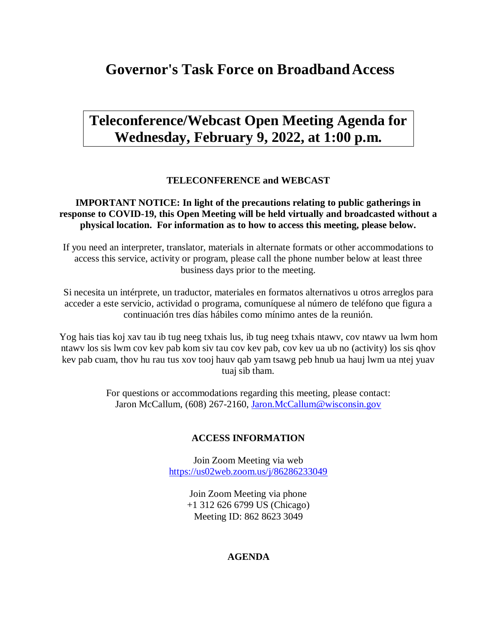# **Governor's Task Force on BroadbandAccess**

# **Teleconference/Webcast Open Meeting Agenda for Wednesday, February 9, 2022, at 1:00 p.m.**

## **TELECONFERENCE and WEBCAST**

## **IMPORTANT NOTICE: In light of the precautions relating to public gatherings in response to COVID-19, this Open Meeting will be held virtually and broadcasted without a physical location. For information as to how to access this meeting, please below.**

If you need an interpreter, translator, materials in alternate formats or other accommodations to access this service, activity or program, please call the phone number below at least three business days prior to the meeting.

Si necesita un intérprete, un traductor, materiales en formatos alternativos u otros arreglos para acceder a este servicio, actividad o programa, comuníquese al número de teléfono que figura a continuación tres días hábiles como mínimo antes de la reunión.

Yog hais tias koj xav tau ib tug neeg txhais lus, ib tug neeg txhais ntawv, cov ntawv ua lwm hom ntawv los sis lwm cov kev pab kom siv tau cov kev pab, cov kev ua ub no (activity) los sis qhov kev pab cuam, thov hu rau tus xov tooj hauv qab yam tsawg peb hnub ua hauj lwm ua ntej yuav tuaj sib tham.

> For questions or accommodations regarding this meeting, please contact: Jaron McCallum, (608) 267-2160, [Jaron.McCallum@wisconsin.gov](mailto:Jaron.McCallum@wisconsin.gov)

## **ACCESS INFORMATION**

Join Zoom Meeting via web <https://us02web.zoom.us/j/86286233049>

> Join Zoom Meeting via phone +1 312 626 6799 US (Chicago) Meeting ID: 862 8623 3049

## **AGENDA**